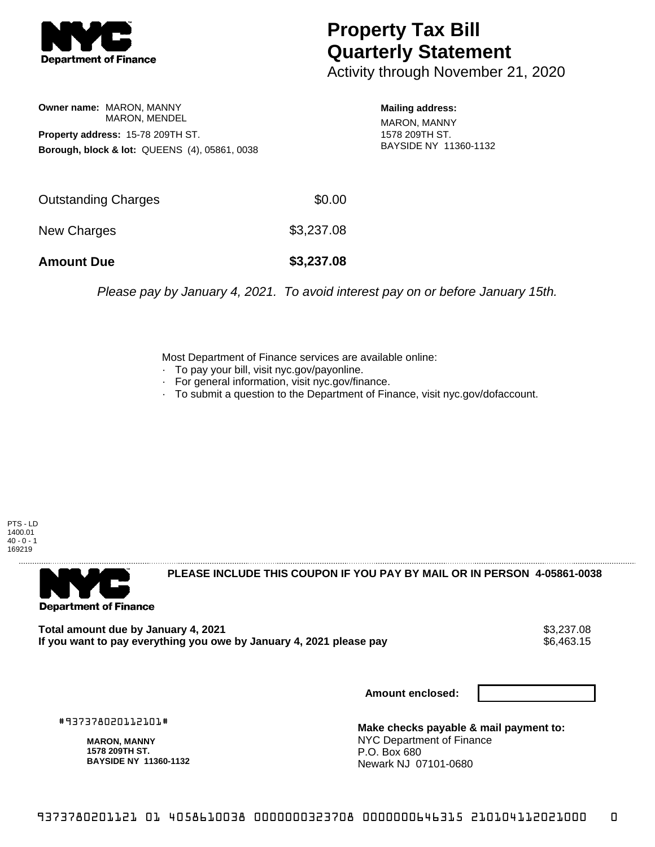

## **Property Tax Bill Quarterly Statement**

Activity through November 21, 2020

**Owner name:** MARON, MANNY MARON, MENDEL **Property address:** 15-78 209TH ST. **Borough, block & lot:** QUEENS (4), 05861, 0038 **Mailing address:**

MARON, MANNY 1578 209TH ST. BAYSIDE NY 11360-1132

| <b>Amount Due</b>   | \$3,237.08 |
|---------------------|------------|
| New Charges         | \$3,237.08 |
| Outstanding Charges | \$0.00     |

Please pay by January 4, 2021. To avoid interest pay on or before January 15th.

Most Department of Finance services are available online:

- · To pay your bill, visit nyc.gov/payonline.
- For general information, visit nyc.gov/finance.
- · To submit a question to the Department of Finance, visit nyc.gov/dofaccount.

PTS - LD 1400.01  $40 - 0 - 1$ 169219



**PLEASE INCLUDE THIS COUPON IF YOU PAY BY MAIL OR IN PERSON 4-05861-0038** 

**Total amount due by January 4, 2021**<br>If you want to pay everything you owe by January 4, 2021 please pay **show that the summer wave to the se**6,463.15 If you want to pay everything you owe by January 4, 2021 please pay

**Amount enclosed:**

#937378020112101#

**MARON, MANNY 1578 209TH ST. BAYSIDE NY 11360-1132**

**Make checks payable & mail payment to:** NYC Department of Finance P.O. Box 680 Newark NJ 07101-0680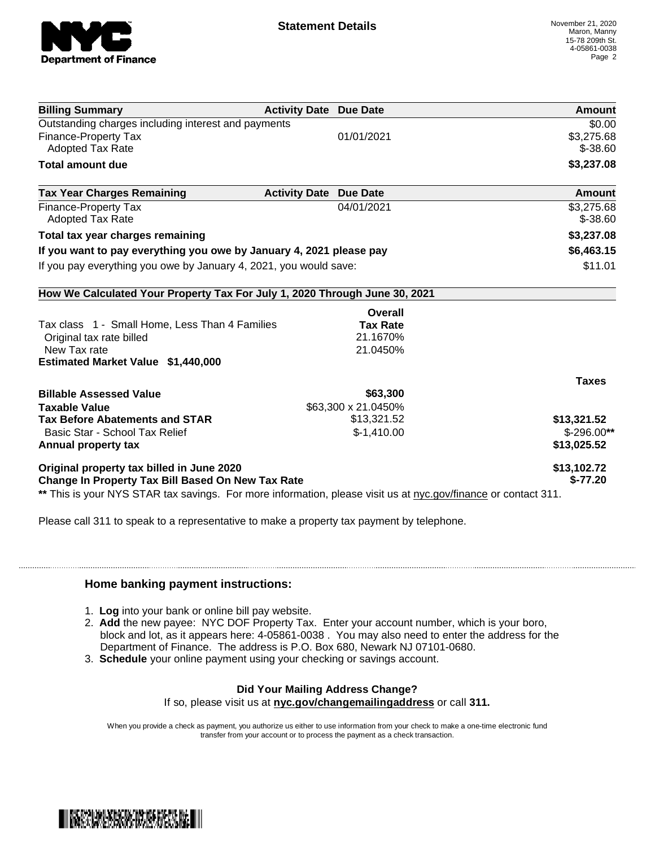

| <b>Billing Summary</b>                                                                                         | <b>Activity Date Due Date</b>           | Amount       |
|----------------------------------------------------------------------------------------------------------------|-----------------------------------------|--------------|
| Outstanding charges including interest and payments                                                            |                                         | \$0.00       |
| Finance-Property Tax                                                                                           | 01/01/2021                              | \$3,275.68   |
| <b>Adopted Tax Rate</b>                                                                                        |                                         | $$ -38.60$   |
| <b>Total amount due</b>                                                                                        |                                         | \$3,237.08   |
| <b>Tax Year Charges Remaining</b>                                                                              | <b>Activity Date</b><br><b>Due Date</b> | Amount       |
| <b>Finance-Property Tax</b>                                                                                    | 04/01/2021                              | \$3,275.68   |
| <b>Adopted Tax Rate</b>                                                                                        |                                         | $$ -38.60$   |
| Total tax year charges remaining                                                                               |                                         | \$3,237.08   |
| If you want to pay everything you owe by January 4, 2021 please pay                                            |                                         | \$6,463.15   |
| If you pay everything you owe by January 4, 2021, you would save:                                              |                                         | \$11.01      |
| How We Calculated Your Property Tax For July 1, 2020 Through June 30, 2021                                     |                                         |              |
|                                                                                                                | Overall                                 |              |
| Tax class 1 - Small Home, Less Than 4 Families                                                                 | <b>Tax Rate</b>                         |              |
| Original tax rate billed                                                                                       | 21.1670%                                |              |
| New Tax rate                                                                                                   | 21.0450%                                |              |
| Estimated Market Value \$1,440,000                                                                             |                                         |              |
|                                                                                                                |                                         | <b>Taxes</b> |
| <b>Billable Assessed Value</b>                                                                                 | \$63,300                                |              |
| <b>Taxable Value</b>                                                                                           | \$63,300 x 21.0450%                     |              |
| <b>Tax Before Abatements and STAR</b>                                                                          | \$13,321.52                             | \$13,321.52  |
| Basic Star - School Tax Relief                                                                                 | $$-1,410.00$                            | $$-296.00**$ |
| Annual property tax                                                                                            |                                         | \$13,025.52  |
| Original property tax billed in June 2020                                                                      |                                         | \$13,102.72  |
| <b>Change In Property Tax Bill Based On New Tax Rate</b>                                                       |                                         | $$-77.20$    |
| ** This is your NYS STAR tax savings. For more information, please visit us at nyc.gov/finance or contact 311. |                                         |              |

Please call 311 to speak to a representative to make a property tax payment by telephone.

## **Home banking payment instructions:**

- 1. **Log** into your bank or online bill pay website.
- 2. **Add** the new payee: NYC DOF Property Tax. Enter your account number, which is your boro, block and lot, as it appears here: 4-05861-0038 . You may also need to enter the address for the Department of Finance. The address is P.O. Box 680, Newark NJ 07101-0680.
- 3. **Schedule** your online payment using your checking or savings account.

## **Did Your Mailing Address Change?**

If so, please visit us at **nyc.gov/changemailingaddress** or call **311.**

When you provide a check as payment, you authorize us either to use information from your check to make a one-time electronic fund transfer from your account or to process the payment as a check transaction.